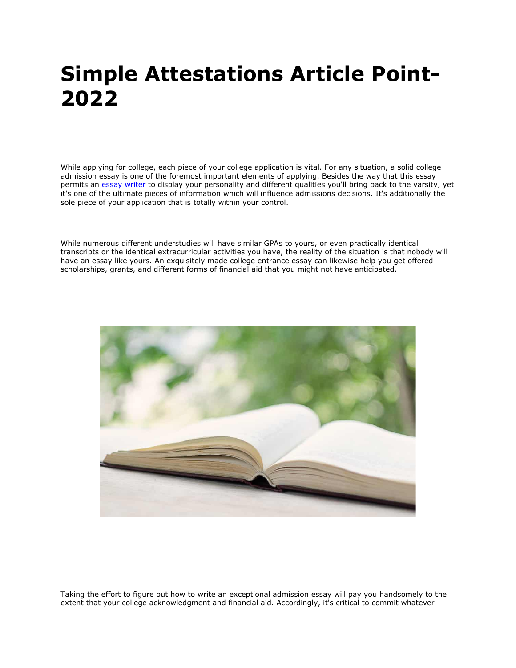# **Simple Attestations Article Point-2022**

While applying for college, each piece of your college application is vital. For any situation, a solid college admission essay is one of the foremost important elements of applying. Besides the way that this essay permits an [essay writer](https://www.essaywriter.college/) to display your personality and different qualities you'll bring back to the varsity, yet it's one of the ultimate pieces of information which will influence admissions decisions. It's additionally the sole piece of your application that is totally within your control.

While numerous different understudies will have similar GPAs to yours, or even practically identical transcripts or the identical extracurricular activities you have, the reality of the situation is that nobody will have an essay like yours. An exquisitely made college entrance essay can likewise help you get offered scholarships, grants, and different forms of financial aid that you might not have anticipated.



Taking the effort to figure out how to write an exceptional admission essay will pay you handsomely to the extent that your college acknowledgment and financial aid. Accordingly, it's critical to commit whatever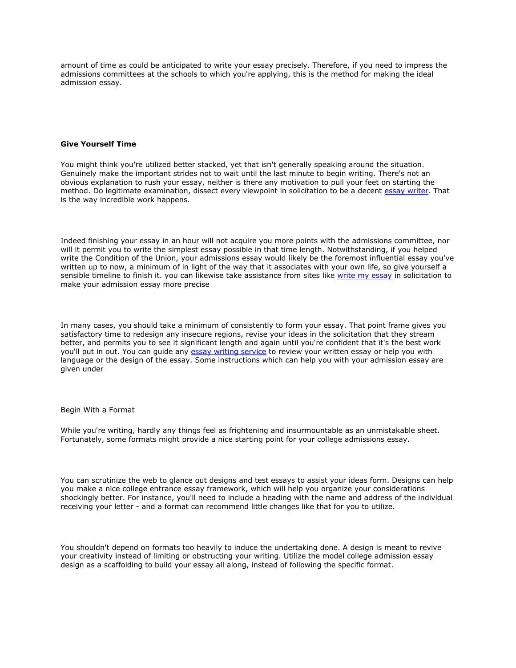amount of time as could be anticipated to write your essay precisely. Therefore, if you need to impress the admissions committees at the schools to which you're applying, this is the method for making the ideal admission essay.

### **Give Yourself Time**

You might think you're utilized better stacked, yet that isn't generally speaking around the situation. Genuinely make the important strides not to wait until the last minute to begin writing. There's not an obvious explanation to rush your essay, neither is there any motivation to pull your feet on starting the method. Do legitimate examination, dissect every viewpoint in solicitation to be a decent [essay writer.](https://essaywriternow.com/) That is the way incredible work happens.

Indeed finishing your essay in an hour will not acquire you more points with the admissions committee, nor will it permit you to write the simplest essay possible in that time length. Notwithstanding, if you helped write the Condition of the Union, your admissions essay would likely be the foremost influential essay you've written up to now, a minimum of in light of the way that it associates with your own life, so give yourself a sensible timeline to finish it. you can likewise take assistance from sites like [write my essay](https://writemyessayfast.net/) in solicitation to make your admission essay more precise

In many cases, you should take a minimum of consistently to form your essay. That point frame gives you satisfactory time to redesign any insecure regions, revise your ideas in the solicitation that they stream better, and permits you to see it significant length and again until you're confident that it's the best work you'll put in out. You can quide any [essay writing service](https://www.essaywritingservice.college/) to review your written essay or help you with language or the design of the essay. Some instructions which can help you with your admission essay are given under

#### Begin With a Format

While you're writing, hardly any things feel as frightening and insurmountable as an unmistakable sheet. Fortunately, some formats might provide a nice starting point for your college admissions essay.

You can scrutinize the web to glance out designs and test essays to assist your ideas form. Designs can help you make a nice college entrance essay framework, which will help you organize your considerations shockingly better. For instance, you'll need to include a heading with the name and address of the individual receiving your letter - and a format can recommend little changes like that for you to utilize.

You shouldn't depend on formats too heavily to induce the undertaking done. A design is meant to revive your creativity instead of limiting or obstructing your writing. Utilize the model college admission essay design as a scaffolding to build your essay all along, instead of following the specific format.